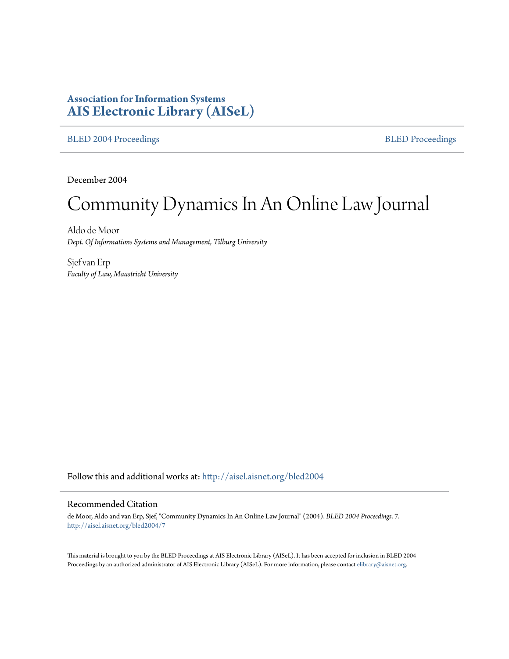# **Association for Information Systems [AIS Electronic Library \(AISeL\)](http://aisel.aisnet.org?utm_source=aisel.aisnet.org%2Fbled2004%2F7&utm_medium=PDF&utm_campaign=PDFCoverPages)**

#### [BLED 2004 Proceedings](http://aisel.aisnet.org/bled2004?utm_source=aisel.aisnet.org%2Fbled2004%2F7&utm_medium=PDF&utm_campaign=PDFCoverPages) **[BLED Proceedings](http://aisel.aisnet.org/bled?utm_source=aisel.aisnet.org%2Fbled2004%2F7&utm_medium=PDF&utm_campaign=PDFCoverPages)**

December 2004

# Community Dynamics In An Online Law Journal

Aldo de Moor *Dept. Of Informations Systems and Management, Tilburg University*

Sjef van Erp *Faculty of Law, Maastricht University*

Follow this and additional works at: [http://aisel.aisnet.org/bled2004](http://aisel.aisnet.org/bled2004?utm_source=aisel.aisnet.org%2Fbled2004%2F7&utm_medium=PDF&utm_campaign=PDFCoverPages)

## Recommended Citation

de Moor, Aldo and van Erp, Sjef, "Community Dynamics In An Online Law Journal" (2004). *BLED 2004 Proceedings*. 7. [http://aisel.aisnet.org/bled2004/7](http://aisel.aisnet.org/bled2004/7?utm_source=aisel.aisnet.org%2Fbled2004%2F7&utm_medium=PDF&utm_campaign=PDFCoverPages)

This material is brought to you by the BLED Proceedings at AIS Electronic Library (AISeL). It has been accepted for inclusion in BLED 2004 Proceedings by an authorized administrator of AIS Electronic Library (AISeL). For more information, please contact [elibrary@aisnet.org](mailto:elibrary@aisnet.org%3E).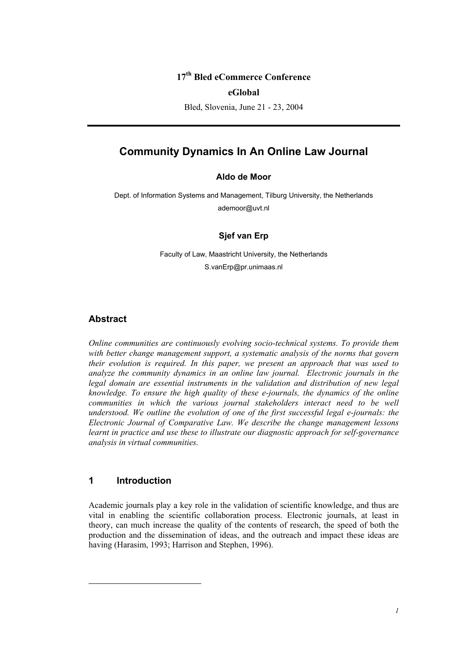## **17th Bled eCommerce Conference**

#### **eGlobal**

Bled, Slovenia, June 21 - 23, 2004

# **Community Dynamics In An Online Law Journal**

## **Aldo de Moor**

Dept. of Information Systems and Management, Tilburg University, the Netherlands ademoor@uvt.nl

#### **Sjef van Erp**

Faculty of Law, Maastricht University, the Netherlands S.vanErp@pr.unimaas.nl

## **Abstract**

*Online communities are continuously evolving socio-technical systems. To provide them with better change management support, a systematic analysis of the norms that govern their evolution is required. In this paper, we present an approach that was used to analyze the community dynamics in an online law journal. Electronic journals in the legal domain are essential instruments in the validation and distribution of new legal knowledge. To ensure the high quality of these e-journals, the dynamics of the online communities in which the various journal stakeholders interact need to be well understood. We outline the evolution of one of the first successful legal e-journals: the Electronic Journal of Comparative Law. We describe the change management lessons learnt in practice and use these to illustrate our diagnostic approach for self-governance analysis in virtual communities.* 

## **1 Introduction**

 $\overline{\phantom{a}}$ 

Academic journals play a key role in the validation of scientific knowledge, and thus are vital in enabling the scientific collaboration process. Electronic journals, at least in theory, can much increase the quality of the contents of research, the speed of both the production and the dissemination of ideas, and the outreach and impact these ideas are having (Harasim, 1993; Harrison and Stephen, 1996).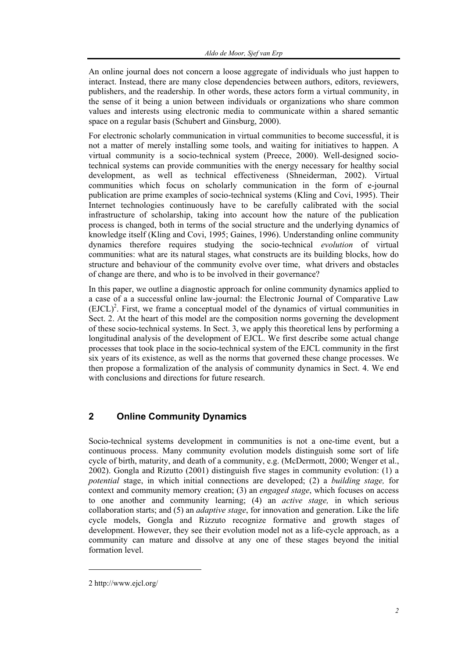An online journal does not concern a loose aggregate of individuals who just happen to interact. Instead, there are many close dependencies between authors, editors, reviewers, publishers, and the readership. In other words, these actors form a virtual community, in the sense of it being a union between individuals or organizations who share common values and interests using electronic media to communicate within a shared semantic space on a regular basis (Schubert and Ginsburg, 2000).

For electronic scholarly communication in virtual communities to become successful, it is not a matter of merely installing some tools, and waiting for initiatives to happen. A virtual community is a socio-technical system (Preece, 2000). Well-designed sociotechnical systems can provide communities with the energy necessary for healthy social development, as well as technical effectiveness (Shneiderman, 2002). Virtual communities which focus on scholarly communication in the form of e-journal publication are prime examples of socio-technical systems (Kling and Covi, 1995). Their Internet technologies continuously have to be carefully calibrated with the social infrastructure of scholarship, taking into account how the nature of the publication process is changed, both in terms of the social structure and the underlying dynamics of knowledge itself (Kling and Covi, 1995; Gaines, 1996). Understanding online community dynamics therefore requires studying the socio-technical *evolution* of virtual communities: what are its natural stages, what constructs are its building blocks, how do structure and behaviour of the community evolve over time, what drivers and obstacles of change are there, and who is to be involved in their governance?

In this paper, we outline a diagnostic approach for online community dynamics applied to a case of a a successful online law-journal: the Electronic Journal of Comparative Law  $(EJCL)<sup>2</sup>$ . First, we frame a conceptual model of the dynamics of virtual communities in Sect. 2. At the heart of this model are the composition norms governing the development of these socio-technical systems. In Sect. 3, we apply this theoretical lens by performing a longitudinal analysis of the development of EJCL. We first describe some actual change processes that took place in the socio-technical system of the EJCL community in the first six years of its existence, as well as the norms that governed these change processes. We then propose a formalization of the analysis of community dynamics in Sect. 4. We end with conclusions and directions for future research.

# **2 Online Community Dynamics**

Socio-technical systems development in communities is not a one-time event, but a continuous process. Many community evolution models distinguish some sort of life cycle of birth, maturity, and death of a community, e.g. (McDermott, 2000; Wenger et al., 2002). Gongla and Rizutto (2001) distinguish five stages in community evolution: (1) a *potential* stage, in which initial connections are developed; (2) a *building stage,* for context and community memory creation; (3) an *engaged stage*, which focuses on access to one another and community learning; (4) an *active stage,* in which serious collaboration starts; and (5) an *adaptive stage*, for innovation and generation. Like the life cycle models, Gongla and Rizzuto recognize formative and growth stages of development. However, they see their evolution model not as a life-cycle approach, as a community can mature and dissolve at any one of these stages beyond the initial formation level.

 $\overline{\phantom{a}}$ 

<sup>2</sup> http://www.ejcl.org/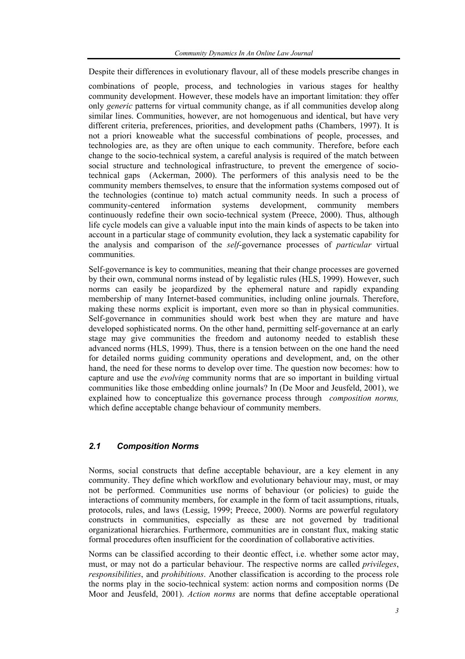Despite their differences in evolutionary flavour, all of these models prescribe changes in

combinations of people, process, and technologies in various stages for healthy community development. However, these models have an important limitation: they offer only *generic* patterns for virtual community change, as if all communities develop along similar lines. Communities, however, are not homogenuous and identical, but have very different criteria, preferences, priorities, and development paths (Chambers, 1997). It is not a priori knoweable what the successful combinations of people, processes, and technologies are, as they are often unique to each community. Therefore, before each change to the socio-technical system, a careful analysis is required of the match between social structure and technological infrastructure, to prevent the emergence of sociotechnical gaps (Ackerman, 2000). The performers of this analysis need to be the community members themselves, to ensure that the information systems composed out of the technologies (continue to) match actual community needs. In such a process of community-centered information systems development, community members continuously redefine their own socio-technical system (Preece, 2000). Thus, although life cycle models can give a valuable input into the main kinds of aspects to be taken into account in a particular stage of community evolution, they lack a systematic capability for the analysis and comparison of the *self*-governance processes of *particular* virtual communities.

Self-governance is key to communities, meaning that their change processes are governed by their own, communal norms instead of by legalistic rules (HLS, 1999). However, such norms can easily be jeopardized by the ephemeral nature and rapidly expanding membership of many Internet-based communities, including online journals. Therefore, making these norms explicit is important, even more so than in physical communities. Self-governance in communities should work best when they are mature and have developed sophisticated norms. On the other hand, permitting self-governance at an early stage may give communities the freedom and autonomy needed to establish these advanced norms (HLS, 1999). Thus, there is a tension between on the one hand the need for detailed norms guiding community operations and development, and, on the other hand, the need for these norms to develop over time. The question now becomes: how to capture and use the *evolving* community norms that are so important in building virtual communities like those embedding online journals? In (De Moor and Jeusfeld, 2001), we explained how to conceptualize this governance process through *composition norms,*  which define acceptable change behaviour of community members.

## *2.1 Composition Norms*

Norms, social constructs that define acceptable behaviour, are a key element in any community. They define which workflow and evolutionary behaviour may, must, or may not be performed. Communities use norms of behaviour (or policies) to guide the interactions of community members, for example in the form of tacit assumptions, rituals, protocols, rules, and laws (Lessig, 1999; Preece, 2000). Norms are powerful regulatory constructs in communities, especially as these are not governed by traditional organizational hierarchies. Furthermore, communities are in constant flux, making static formal procedures often insufficient for the coordination of collaborative activities.

Norms can be classified according to their deontic effect, i.e. whether some actor may, must, or may not do a particular behaviour. The respective norms are called *privileges*, *responsibilities*, and *prohibitions*. Another classification is according to the process role the norms play in the socio-technical system: action norms and composition norms (De Moor and Jeusfeld, 2001). *Action norms* are norms that define acceptable operational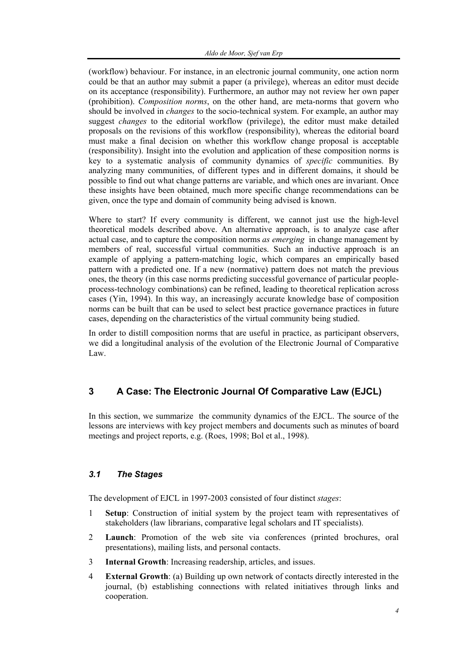(workflow) behaviour. For instance, in an electronic journal community, one action norm could be that an author may submit a paper (a privilege), whereas an editor must decide on its acceptance (responsibility). Furthermore, an author may not review her own paper (prohibition). *Composition norms*, on the other hand, are meta-norms that govern who should be involved in *changes* to the socio-technical system. For example, an author may suggest *changes* to the editorial workflow (privilege), the editor must make detailed proposals on the revisions of this workflow (responsibility), whereas the editorial board must make a final decision on whether this workflow change proposal is acceptable (responsibility). Insight into the evolution and application of these composition norms is key to a systematic analysis of community dynamics of *specific* communities. By analyzing many communities, of different types and in different domains, it should be possible to find out what change patterns are variable, and which ones are invariant. Once these insights have been obtained, much more specific change recommendations can be given, once the type and domain of community being advised is known.

Where to start? If every community is different, we cannot just use the high-level theoretical models described above. An alternative approach, is to analyze case after actual case, and to capture the composition norms *as emerging* in change management by members of real, successful virtual communities. Such an inductive approach is an example of applying a pattern-matching logic, which compares an empirically based pattern with a predicted one. If a new (normative) pattern does not match the previous ones, the theory (in this case norms predicting successful governance of particular peopleprocess-technology combinations) can be refined, leading to theoretical replication across cases (Yin, 1994). In this way, an increasingly accurate knowledge base of composition norms can be built that can be used to select best practice governance practices in future cases, depending on the characteristics of the virtual community being studied.

In order to distill composition norms that are useful in practice, as participant observers, we did a longitudinal analysis of the evolution of the Electronic Journal of Comparative Law.

# **3 A Case: The Electronic Journal Of Comparative Law (EJCL)**

In this section, we summarize the community dynamics of the EJCL. The source of the lessons are interviews with key project members and documents such as minutes of board meetings and project reports, e.g. (Roes, 1998; Bol et al., 1998).

## *3.1 The Stages*

The development of EJCL in 1997-2003 consisted of four distinct *stages*:

- 1 **Setup**: Construction of initial system by the project team with representatives of stakeholders (law librarians, comparative legal scholars and IT specialists).
- 2 **Launch**: Promotion of the web site via conferences (printed brochures, oral presentations), mailing lists, and personal contacts.
- 3 **Internal Growth**: Increasing readership, articles, and issues.
- 4 **External Growth**: (a) Building up own network of contacts directly interested in the journal, (b) establishing connections with related initiatives through links and cooperation.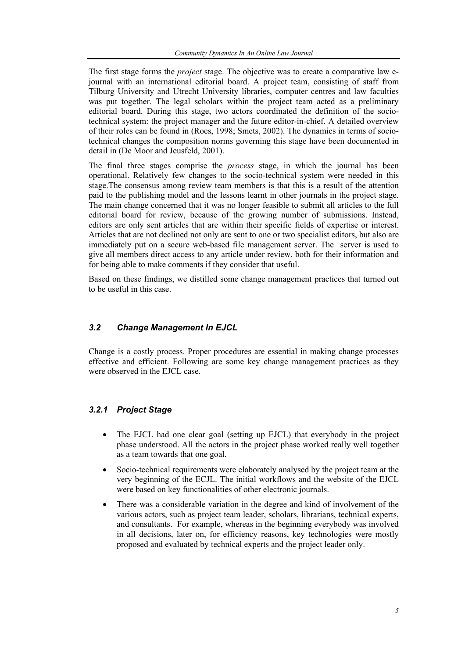The first stage forms the *project* stage. The objective was to create a comparative law ejournal with an international editorial board. A project team, consisting of staff from Tilburg University and Utrecht University libraries, computer centres and law faculties was put together. The legal scholars within the project team acted as a preliminary editorial board. During this stage, two actors coordinated the definition of the sociotechnical system: the project manager and the future editor-in-chief. A detailed overview of their roles can be found in (Roes, 1998; Smets, 2002). The dynamics in terms of sociotechnical changes the composition norms governing this stage have been documented in detail in (De Moor and Jeusfeld, 2001).

The final three stages comprise the *process* stage, in which the journal has been operational. Relatively few changes to the socio-technical system were needed in this stage.The consensus among review team members is that this is a result of the attention paid to the publishing model and the lessons learnt in other journals in the project stage. The main change concerned that it was no longer feasible to submit all articles to the full editorial board for review, because of the growing number of submissions. Instead, editors are only sent articles that are within their specific fields of expertise or interest. Articles that are not declined not only are sent to one or two specialist editors, but also are immediately put on a secure web-based file management server. The server is used to give all members direct access to any article under review, both for their information and for being able to make comments if they consider that useful.

Based on these findings, we distilled some change management practices that turned out to be useful in this case.

## *3.2 Change Management In EJCL*

Change is a costly process. Proper procedures are essential in making change processes effective and efficient. Following are some key change management practices as they were observed in the EJCL case.

## *3.2.1 Project Stage*

- The EJCL had one clear goal (setting up EJCL) that everybody in the project phase understood. All the actors in the project phase worked really well together as a team towards that one goal.
- Socio-technical requirements were elaborately analysed by the project team at the very beginning of the ECJL. The initial workflows and the website of the EJCL were based on key functionalities of other electronic journals.
- There was a considerable variation in the degree and kind of involvement of the various actors, such as project team leader, scholars, librarians, technical experts, and consultants. For example, whereas in the beginning everybody was involved in all decisions, later on, for efficiency reasons, key technologies were mostly proposed and evaluated by technical experts and the project leader only.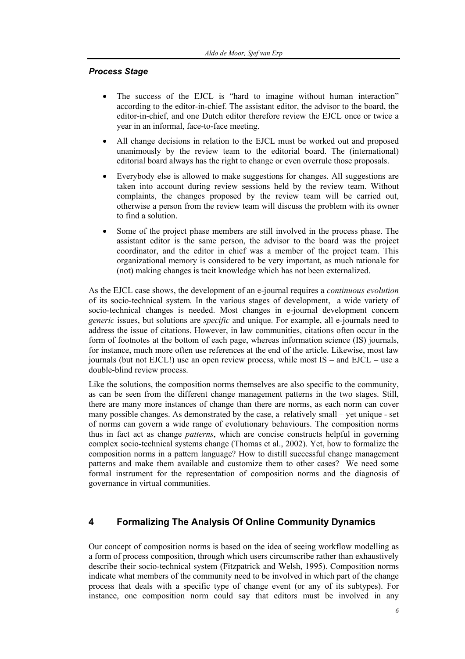#### *Process Stage*

- The success of the EJCL is "hard to imagine without human interaction" according to the editor-in-chief. The assistant editor, the advisor to the board, the editor-in-chief, and one Dutch editor therefore review the EJCL once or twice a year in an informal, face-to-face meeting.
- All change decisions in relation to the EJCL must be worked out and proposed unanimously by the review team to the editorial board. The (international) editorial board always has the right to change or even overrule those proposals.
- Everybody else is allowed to make suggestions for changes. All suggestions are taken into account during review sessions held by the review team. Without complaints, the changes proposed by the review team will be carried out, otherwise a person from the review team will discuss the problem with its owner to find a solution.
- Some of the project phase members are still involved in the process phase. The assistant editor is the same person, the advisor to the board was the project coordinator, and the editor in chief was a member of the project team. This organizational memory is considered to be very important, as much rationale for (not) making changes is tacit knowledge which has not been externalized.

As the EJCL case shows, the development of an e-journal requires a *continuous evolution*  of its socio-technical system*.* In the various stages of development, a wide variety of socio-technical changes is needed. Most changes in e-journal development concern *generic* issues, but solutions are *specific* and unique. For example, all e-journals need to address the issue of citations. However, in law communities, citations often occur in the form of footnotes at the bottom of each page, whereas information science (IS) journals, for instance, much more often use references at the end of the article. Likewise, most law journals (but not EJCL!) use an open review process, while most IS – and EJCL – use a double-blind review process.

Like the solutions, the composition norms themselves are also specific to the community, as can be seen from the different change management patterns in the two stages. Still, there are many more instances of change than there are norms, as each norm can cover many possible changes. As demonstrated by the case, a relatively small – yet unique - set of norms can govern a wide range of evolutionary behaviours. The composition norms thus in fact act as change *patterns*, which are concise constructs helpful in governing complex socio-technical systems change (Thomas et al., 2002). Yet, how to formalize the composition norms in a pattern language? How to distill successful change management patterns and make them available and customize them to other cases? We need some formal instrument for the representation of composition norms and the diagnosis of governance in virtual communities.

## **4 Formalizing The Analysis Of Online Community Dynamics**

Our concept of composition norms is based on the idea of seeing workflow modelling as a form of process composition, through which users circumscribe rather than exhaustively describe their socio-technical system (Fitzpatrick and Welsh, 1995). Composition norms indicate what members of the community need to be involved in which part of the change process that deals with a specific type of change event (or any of its subtypes). For instance, one composition norm could say that editors must be involved in any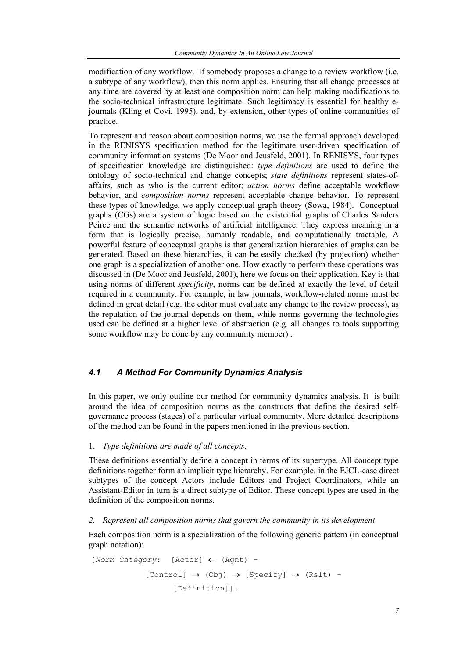modification of any workflow. If somebody proposes a change to a review workflow (i.e. a subtype of any workflow), then this norm applies. Ensuring that all change processes at any time are covered by at least one composition norm can help making modifications to the socio-technical infrastructure legitimate. Such legitimacy is essential for healthy ejournals (Kling et Covi, 1995), and, by extension, other types of online communities of practice.

To represent and reason about composition norms, we use the formal approach developed in the RENISYS specification method for the legitimate user-driven specification of community information systems (De Moor and Jeusfeld, 2001). In RENISYS, four types of specification knowledge are distinguished: *type definitions* are used to define the ontology of socio-technical and change concepts; *state definitions* represent states-ofaffairs, such as who is the current editor; *action norms* define acceptable workflow behavior, and *composition norms* represent acceptable change behavior. To represent these types of knowledge, we apply conceptual graph theory (Sowa, 1984). Conceptual graphs (CGs) are a system of logic based on the existential graphs of Charles Sanders Peirce and the semantic networks of artificial intelligence. They express meaning in a form that is logically precise, humanly readable, and computationally tractable. A powerful feature of conceptual graphs is that generalization hierarchies of graphs can be generated. Based on these hierarchies, it can be easily checked (by projection) whether one graph is a specialization of another one. How exactly to perform these operations was discussed in (De Moor and Jeusfeld, 2001), here we focus on their application. Key is that using norms of different *specificity*, norms can be defined at exactly the level of detail required in a community. For example, in law journals, workflow-related norms must be defined in great detail (e.g. the editor must evaluate any change to the review process), as the reputation of the journal depends on them, while norms governing the technologies used can be defined at a higher level of abstraction (e.g. all changes to tools supporting some workflow may be done by any community member) .

## *4.1 A Method For Community Dynamics Analysis*

In this paper, we only outline our method for community dynamics analysis. It is built around the idea of composition norms as the constructs that define the desired selfgovernance process (stages) of a particular virtual community. More detailed descriptions of the method can be found in the papers mentioned in the previous section.

### 1. *Type definitions are made of all concepts*.

These definitions essentially define a concept in terms of its supertype. All concept type definitions together form an implicit type hierarchy. For example, in the EJCL-case direct subtypes of the concept Actors include Editors and Project Coordinators, while an Assistant-Editor in turn is a direct subtype of Editor. These concept types are used in the definition of the composition norms.

#### *2. Represent all composition norms that govern the community in its development*

Each composition norm is a specialization of the following generic pattern (in conceptual graph notation):

```
[Norm Category: [Actor] ← (Agnt) - 
       [Control] \rightarrow (Obj) \rightarrow [Specify] \rightarrow (Rslt) -
               [Definition]].
```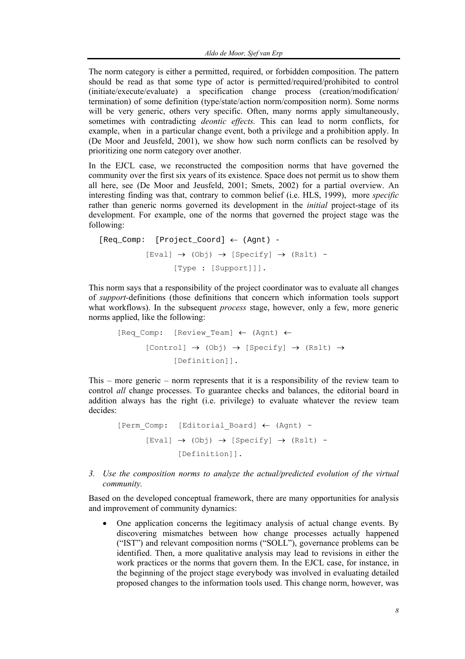The norm category is either a permitted, required, or forbidden composition. The pattern should be read as that some type of actor is permitted/required/prohibited to control (initiate/execute/evaluate) a specification change process (creation/modification/ termination) of some definition (type/state/action norm/composition norm). Some norms will be very generic, others very specific. Often, many norms apply simultaneously, sometimes with contradicting *deontic effects.* This can lead to norm conflicts, for example, when in a particular change event, both a privilege and a prohibition apply. In (De Moor and Jeusfeld, 2001), we show how such norm conflicts can be resolved by prioritizing one norm category over another.

In the EJCL case, we reconstructed the composition norms that have governed the community over the first six years of its existence. Space does not permit us to show them all here, see (De Moor and Jeusfeld, 2001; Smets, 2002) for a partial overview. An interesting finding was that, contrary to common belief (i.e. HLS, 1999), more *specific* rather than generic norms governed its development in the *initial* project-stage of its development. For example, one of the norms that governed the project stage was the following:

```
[Reg Comp: [Project Coord] \leftarrow (Aqnt) -[Eval] \rightarrow (Obj) \rightarrow [Specify] \rightarrow (Rslt) -
              [Type : [Support]]].
```
This norm says that a responsibility of the project coordinator was to evaluate all changes of *support-*definitions (those definitions that concern which information tools support what workflows). In the subsequent *process* stage, however, only a few, more generic norms applied, like the following:

$$
[Reg\_Comp: [Review\_Team] \leftarrow (April) \leftarrow
$$
  

$$
[Control] \rightarrow (Obj) \rightarrow [Specificify] \rightarrow (Rslt) \rightarrow
$$
  

$$
[Definition]].
$$

This – more generic – norm represents that it is a responsibility of the review team to control *all* change processes. To guarantee checks and balances, the editorial board in addition always has the right (i.e. privilege) to evaluate whatever the review team decides:

```
[Perm Comp: [Editorial Board] ← (Agnt) -
[Eval] \rightarrow (Obj) \rightarrow [Specify] \rightarrow (Rslt) -
        [Definition]].
```
*3. Use the composition norms to analyze the actual/predicted evolution of the virtual community.* 

Based on the developed conceptual framework, there are many opportunities for analysis and improvement of community dynamics:

• One application concerns the legitimacy analysis of actual change events. By discovering mismatches between how change processes actually happened ("IST") and relevant composition norms ("SOLL"), governance problems can be identified. Then, a more qualitative analysis may lead to revisions in either the work practices or the norms that govern them. In the EJCL case, for instance, in the beginning of the project stage everybody was involved in evaluating detailed proposed changes to the information tools used. This change norm, however, was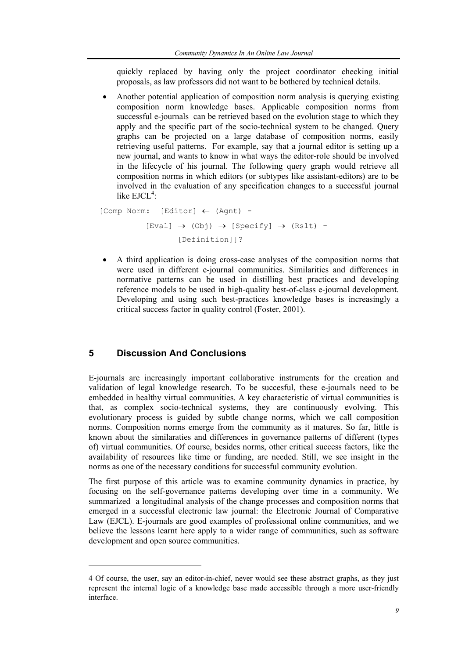quickly replaced by having only the project coordinator checking initial proposals, as law professors did not want to be bothered by technical details.

• Another potential application of composition norm analysis is querying existing composition norm knowledge bases. Applicable composition norms from successful e-journals can be retrieved based on the evolution stage to which they apply and the specific part of the socio-technical system to be changed. Query graphs can be projected on a large database of composition norms, easily retrieving useful patterns. For example, say that a journal editor is setting up a new journal, and wants to know in what ways the editor-role should be involved in the lifecycle of his journal. The following query graph would retrieve all composition norms in which editors (or subtypes like assistant-editors) are to be involved in the evaluation of any specification changes to a successful journal like  $EJCL<sup>4</sup>$ :

```
 [Comp_Norm: [Editor] ← (Agnt) - 
     [Eval] \rightarrow (Obj) \rightarrow [Specify] \rightarrow (Rslt) -
              [Definition]]?
```
• A third application is doing cross-case analyses of the composition norms that were used in different e-journal communities. Similarities and differences in normative patterns can be used in distilling best practices and developing reference models to be used in high-quality best-of-class e-journal development. Developing and using such best-practices knowledge bases is increasingly a critical success factor in quality control (Foster, 2001).

# **5 Discussion And Conclusions**

 $\overline{\phantom{a}}$ 

E-journals are increasingly important collaborative instruments for the creation and validation of legal knowledge research. To be succesful, these e-journals need to be embedded in healthy virtual communities. A key characteristic of virtual communities is that, as complex socio-technical systems, they are continuously evolving. This evolutionary process is guided by subtle change norms, which we call composition norms. Composition norms emerge from the community as it matures. So far, little is known about the similaraties and differences in governance patterns of different (types of) virtual communities. Of course, besides norms, other critical success factors, like the availability of resources like time or funding, are needed. Still, we see insight in the norms as one of the necessary conditions for successful community evolution.

The first purpose of this article was to examine community dynamics in practice, by focusing on the self-governance patterns developing over time in a community. We summarized a longitudinal analysis of the change processes and composition norms that emerged in a successful electronic law journal: the Electronic Journal of Comparative Law (EJCL). E-journals are good examples of professional online communities, and we believe the lessons learnt here apply to a wider range of communities, such as software development and open source communities.

<sup>4</sup> Of course, the user, say an editor-in-chief, never would see these abstract graphs, as they just represent the internal logic of a knowledge base made accessible through a more user-friendly interface.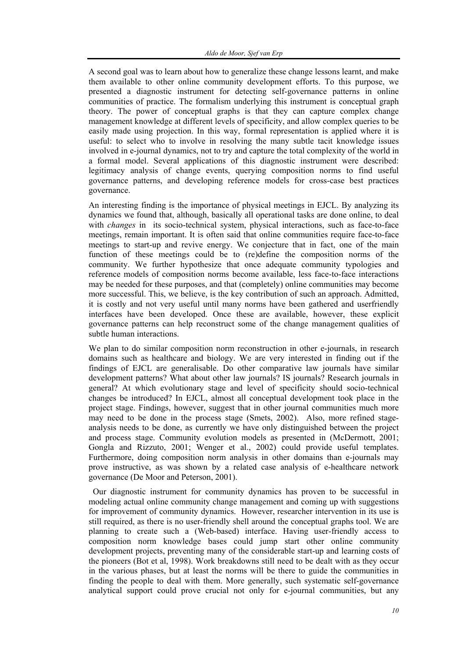A second goal was to learn about how to generalize these change lessons learnt, and make them available to other online community development efforts. To this purpose, we presented a diagnostic instrument for detecting self-governance patterns in online communities of practice. The formalism underlying this instrument is conceptual graph theory. The power of conceptual graphs is that they can capture complex change management knowledge at different levels of specificity, and allow complex queries to be easily made using projection. In this way, formal representation is applied where it is useful: to select who to involve in resolving the many subtle tacit knowledge issues involved in e-journal dynamics, not to try and capture the total complexity of the world in a formal model. Several applications of this diagnostic instrument were described: legitimacy analysis of change events, querying composition norms to find useful governance patterns, and developing reference models for cross-case best practices governance.

An interesting finding is the importance of physical meetings in EJCL. By analyzing its dynamics we found that, although, basically all operational tasks are done online, to deal with *changes* in its socio-technical system, physical interactions, such as face-to-face meetings, remain important. It is often said that online communities require face-to-face meetings to start-up and revive energy. We conjecture that in fact, one of the main function of these meetings could be to (re)define the composition norms of the community. We further hypothesize that once adequate community typologies and reference models of composition norms become available, less face-to-face interactions may be needed for these purposes, and that (completely) online communities may become more successful. This, we believe, is the key contribution of such an approach. Admitted, it is costly and not very useful until many norms have been gathered and userfriendly interfaces have been developed. Once these are available, however, these explicit governance patterns can help reconstruct some of the change management qualities of subtle human interactions.

We plan to do similar composition norm reconstruction in other e-journals, in research domains such as healthcare and biology. We are very interested in finding out if the findings of EJCL are generalisable. Do other comparative law journals have similar development patterns? What about other law journals? IS journals? Research journals in general? At which evolutionary stage and level of specificity should socio-technical changes be introduced? In EJCL, almost all conceptual development took place in the project stage. Findings, however, suggest that in other journal communities much more may need to be done in the process stage (Smets, 2002). Also, more refined stageanalysis needs to be done, as currently we have only distinguished between the project and process stage. Community evolution models as presented in (McDermott, 2001; Gongla and Rizzuto, 2001; Wenger et al., 2002) could provide useful templates. Furthermore, doing composition norm analysis in other domains than e-journals may prove instructive, as was shown by a related case analysis of e-healthcare network governance (De Moor and Peterson, 2001).

 Our diagnostic instrument for community dynamics has proven to be successful in modeling actual online community change management and coming up with suggestions for improvement of community dynamics. However, researcher intervention in its use is still required, as there is no user-friendly shell around the conceptual graphs tool. We are planning to create such a (Web-based) interface. Having user-friendly access to composition norm knowledge bases could jump start other online community development projects, preventing many of the considerable start-up and learning costs of the pioneers (Bot et al, 1998). Work breakdowns still need to be dealt with as they occur in the various phases, but at least the norms will be there to guide the communities in finding the people to deal with them. More generally, such systematic self-governance analytical support could prove crucial not only for e-journal communities, but any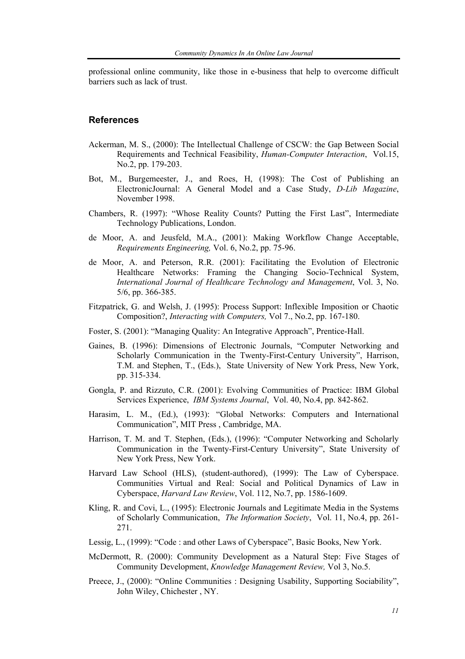professional online community, like those in e-business that help to overcome difficult barriers such as lack of trust.

## **References**

- Ackerman, M. S., (2000): The Intellectual Challenge of CSCW: the Gap Between Social Requirements and Technical Feasibility, *Human-Computer Interaction*, Vol.15, No.2, pp. 179-203.
- Bot, M., Burgemeester, J., and Roes, H, (1998): The Cost of Publishing an ElectronicJournal: A General Model and a Case Study, *D-Lib Magazine*, November 1998.
- Chambers, R. (1997): "Whose Reality Counts? Putting the First Last", Intermediate Technology Publications, London.
- de Moor, A. and Jeusfeld, M.A., (2001): Making Workflow Change Acceptable, *Requirements Engineering,* Vol. 6, No.2, pp. 75-96.
- de Moor, A. and Peterson, R.R. (2001): Facilitating the Evolution of Electronic Healthcare Networks: Framing the Changing Socio-Technical System, *International Journal of Healthcare Technology and Management*, Vol. 3, No. 5/6, pp. 366-385.
- Fitzpatrick, G. and Welsh, J. (1995): Process Support: Inflexible Imposition or Chaotic Composition?, *Interacting with Computers,* Vol 7., No.2, pp. 167-180.
- Foster, S. (2001): "Managing Quality: An Integrative Approach", Prentice-Hall.
- Gaines, B. (1996): Dimensions of Electronic Journals, "Computer Networking and Scholarly Communication in the Twenty-First-Century University", Harrison, T.M. and Stephen, T., (Eds.), State University of New York Press, New York, pp. 315-334.
- Gongla, P. and Rizzuto, C.R. (2001): Evolving Communities of Practice: IBM Global Services Experience, *IBM Systems Journal*, Vol. 40, No.4, pp. 842-862.
- Harasim, L. M., (Ed.), (1993): "Global Networks: Computers and International Communication", MIT Press , Cambridge, MA.
- Harrison, T. M. and T. Stephen, (Eds.), (1996): "Computer Networking and Scholarly Communication in the Twenty-First-Century University", State University of New York Press, New York.
- Harvard Law School (HLS), (student-authored), (1999): The Law of Cyberspace. Communities Virtual and Real: Social and Political Dynamics of Law in Cyberspace, *Harvard Law Review*, Vol. 112, No.7, pp. 1586-1609.
- Kling, R. and Covi, L., (1995): Electronic Journals and Legitimate Media in the Systems of Scholarly Communication, *The Information Society*, Vol. 11, No.4, pp. 261- 271.
- Lessig, L., (1999): "Code : and other Laws of Cyberspace", Basic Books, New York.
- McDermott, R. (2000): Community Development as a Natural Step: Five Stages of Community Development, *Knowledge Management Review,* Vol 3, No.5.
- Preece, J., (2000): "Online Communities : Designing Usability, Supporting Sociability", John Wiley, Chichester , NY.